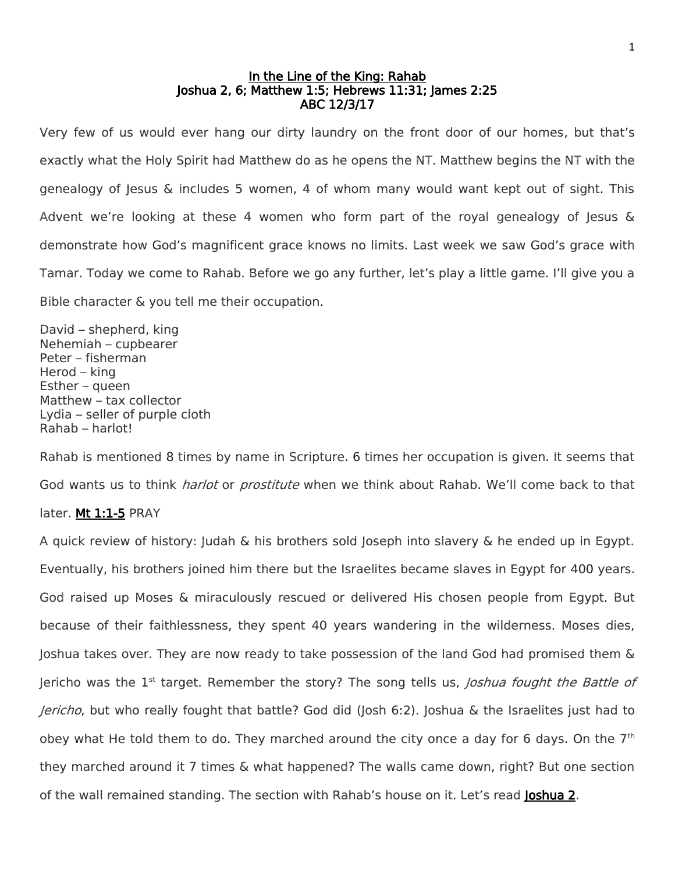#### In the Line of the King: Rahab Joshua 2, 6; Matthew 1:5; Hebrews 11:31; James 2:25 ABC 12/3/17

Very few of us would ever hang our dirty laundry on the front door of our homes, but that's exactly what the Holy Spirit had Matthew do as he opens the NT. Matthew begins the NT with the genealogy of Jesus & includes 5 women, 4 of whom many would want kept out of sight. This Advent we're looking at these 4 women who form part of the royal genealogy of Jesus & demonstrate how God's magnificent grace knows no limits. Last week we saw God's grace with Tamar. Today we come to Rahab. Before we go any further, let's play a little game. I'll give you a Bible character & you tell me their occupation.

David – shepherd, king Nehemiah – cupbearer Peter – fisherman Herod – king Esther – queen Matthew – tax collector Lydia – seller of purple cloth Rahab – harlot!

Rahab is mentioned 8 times by name in Scripture. 6 times her occupation is given. It seems that God wants us to think *harlot* or *prostitute* when we think about Rahab. We'll come back to that

# later. Mt 1:1-5 PRAY

A quick review of history: Judah & his brothers sold Joseph into slavery & he ended up in Egypt. Eventually, his brothers joined him there but the Israelites became slaves in Egypt for 400 years. God raised up Moses & miraculously rescued or delivered His chosen people from Egypt. But because of their faithlessness, they spent 40 years wandering in the wilderness. Moses dies, Joshua takes over. They are now ready to take possession of the land God had promised them & Jericho was the  $1<sup>st</sup>$  target. Remember the story? The song tells us, *Joshua fought the Battle of* Jericho, but who really fought that battle? God did (Josh 6:2). Joshua & the Israelites just had to obey what He told them to do. They marched around the city once a day for 6 days. On the 7<sup>th</sup> they marched around it 7 times & what happened? The walls came down, right? But one section of the wall remained standing. The section with Rahab's house on it. Let's read Joshua 2.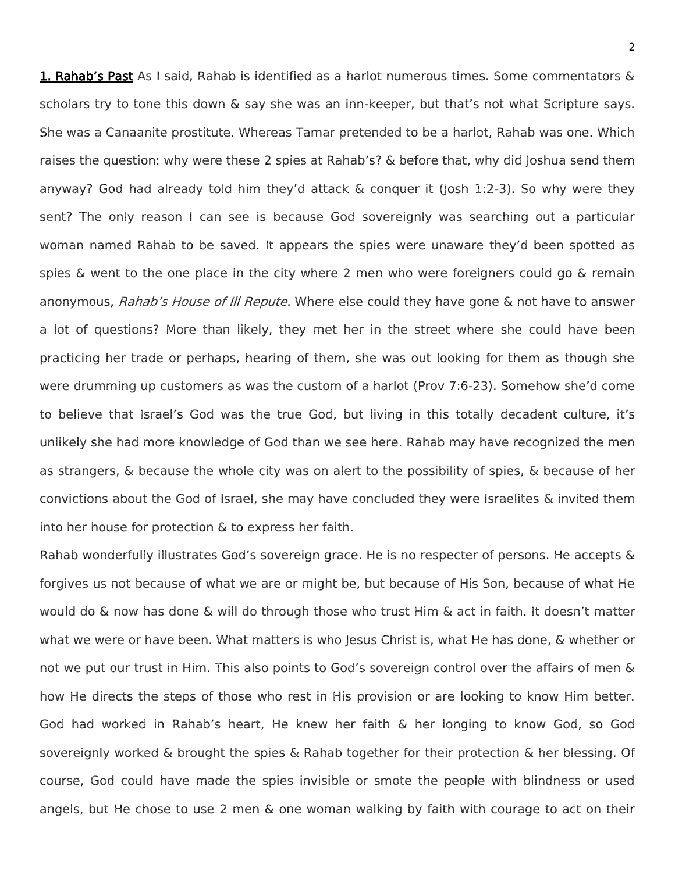1. Rahab's Past As I said, Rahab is identified as a harlot numerous times. Some commentators & scholars try to tone this down & say she was an inn-keeper, but that's not what Scripture says. She was a Canaanite prostitute. Whereas Tamar pretended to be a harlot, Rahab was one. Which raises the question: why were these 2 spies at Rahab's? & before that, why did Joshua send them anyway? God had already told him they'd attack & conquer it (Josh 1:2-3). So why were they sent? The only reason I can see is because God sovereignly was searching out a particular woman named Rahab to be saved. It appears the spies were unaware they'd been spotted as spies & went to the one place in the city where 2 men who were foreigners could go & remain anonymous, Rahab's House of III Repute. Where else could they have gone & not have to answer a lot of questions? More than likely, they met her in the street where she could have been practicing her trade or perhaps, hearing of them, she was out looking for them as though she were drumming up customers as was the custom of a harlot (Prov 7:6-23). Somehow she'd come to believe that Israel's God was the true God, but living in this totally decadent culture, it's unlikely she had more knowledge of God than we see here. Rahab may have recognized the men as strangers, & because the whole city was on alert to the possibility of spies, & because of her convictions about the God of Israel, she may have concluded they were Israelites & invited them into her house for protection & to express her faith.

Rahab wonderfully illustrates God's sovereign grace. He is no respecter of persons. He accepts & forgives us not because of what we are or might be, but because of His Son, because of what He would do & now has done & will do through those who trust Him & act in faith. It doesn't matter what we were or have been. What matters is who lesus Christ is, what He has done, & whether or not we put our trust in Him. This also points to God's sovereign control over the affairs of men & how He directs the steps of those who rest in His provision or are looking to know Him better. God had worked in Rahab's heart, He knew her faith & her longing to know God, so God sovereignly worked & brought the spies & Rahab together for their protection & her blessing. Of course, God could have made the spies invisible or smote the people with blindness or used angels, but He chose to use 2 men & one woman walking by faith with courage to act on their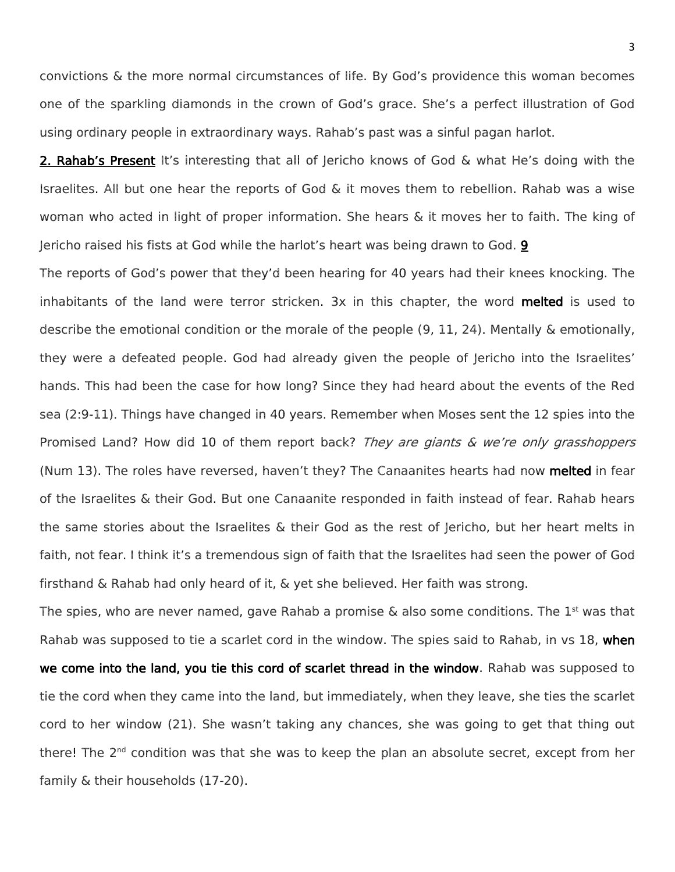convictions & the more normal circumstances of life. By God's providence this woman becomes one of the sparkling diamonds in the crown of God's grace. She's a perfect illustration of God using ordinary people in extraordinary ways. Rahab's past was a sinful pagan harlot.

**2. Rahab's Present** It's interesting that all of Jericho knows of God & what He's doing with the Israelites. All but one hear the reports of God & it moves them to rebellion. Rahab was a wise woman who acted in light of proper information. She hears & it moves her to faith. The king of Jericho raised his fists at God while the harlot's heart was being drawn to God. 9

The reports of God's power that they'd been hearing for 40 years had their knees knocking. The inhabitants of the land were terror stricken. 3x in this chapter, the word melted is used to describe the emotional condition or the morale of the people (9, 11, 24). Mentally & emotionally, they were a defeated people. God had already given the people of Jericho into the Israelites' hands. This had been the case for how long? Since they had heard about the events of the Red sea (2:9-11). Things have changed in 40 years. Remember when Moses sent the 12 spies into the Promised Land? How did 10 of them report back? They are giants & we're only grasshoppers (Num 13). The roles have reversed, haven't they? The Canaanites hearts had now melted in fear of the Israelites & their God. But one Canaanite responded in faith instead of fear. Rahab hears the same stories about the Israelites & their God as the rest of Jericho, but her heart melts in faith, not fear. I think it's a tremendous sign of faith that the Israelites had seen the power of God firsthand & Rahab had only heard of it, & yet she believed. Her faith was strong.

The spies, who are never named, gave Rahab a promise & also some conditions. The 1<sup>st</sup> was that Rahab was supposed to tie a scarlet cord in the window. The spies said to Rahab, in vs 18, when we come into the land, you tie this cord of scarlet thread in the window. Rahab was supposed to tie the cord when they came into the land, but immediately, when they leave, she ties the scarlet cord to her window (21). She wasn't taking any chances, she was going to get that thing out there! The 2<sup>nd</sup> condition was that she was to keep the plan an absolute secret, except from her family & their households (17-20).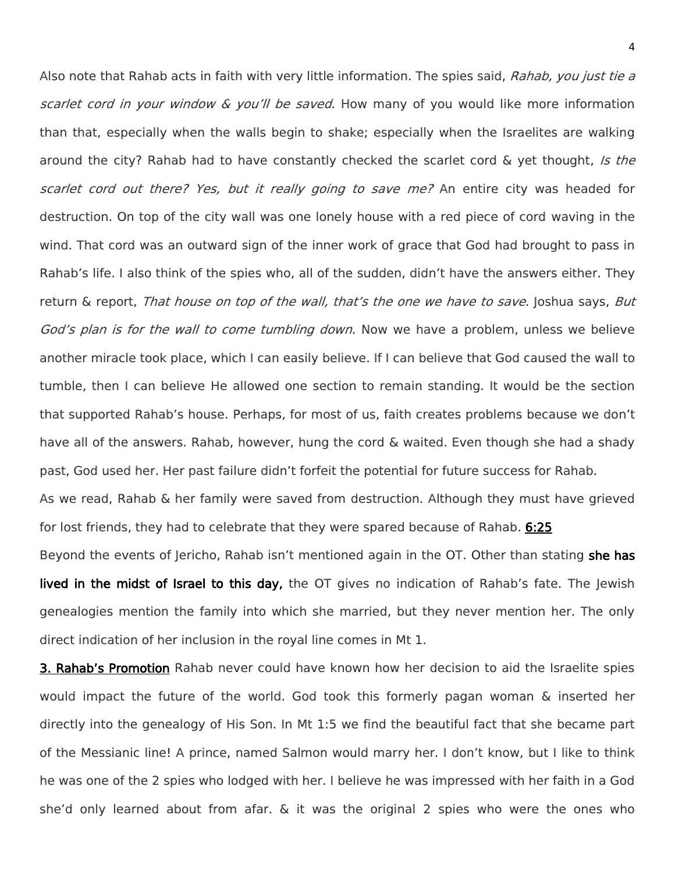Also note that Rahab acts in faith with very little information. The spies said, Rahab, you just tie a scarlet cord in your window  $\&$  you'll be saved. How many of you would like more information than that, especially when the walls begin to shake; especially when the Israelites are walking around the city? Rahab had to have constantly checked the scarlet cord & yet thought, Is the scarlet cord out there? Yes, but it really going to save me? An entire city was headed for destruction. On top of the city wall was one lonely house with a red piece of cord waving in the wind. That cord was an outward sign of the inner work of grace that God had brought to pass in Rahab's life. I also think of the spies who, all of the sudden, didn't have the answers either. They return & report, That house on top of the wall, that's the one we have to save. Joshua says, But God's plan is for the wall to come tumbling down. Now we have a problem, unless we believe another miracle took place, which I can easily believe. If I can believe that God caused the wall to tumble, then I can believe He allowed one section to remain standing. It would be the section that supported Rahab's house. Perhaps, for most of us, faith creates problems because we don't have all of the answers. Rahab, however, hung the cord & waited. Even though she had a shady past, God used her. Her past failure didn't forfeit the potential for future success for Rahab.

As we read, Rahab & her family were saved from destruction. Although they must have grieved for lost friends, they had to celebrate that they were spared because of Rahab. 6:25 Beyond the events of Jericho, Rahab isn't mentioned again in the OT. Other than stating she has lived in the midst of Israel to this day, the OT gives no indication of Rahab's fate. The Jewish

genealogies mention the family into which she married, but they never mention her. The only direct indication of her inclusion in the royal line comes in Mt 1.

**3. Rahab's Promotion** Rahab never could have known how her decision to aid the Israelite spies would impact the future of the world. God took this formerly pagan woman & inserted her directly into the genealogy of His Son. In Mt 1:5 we find the beautiful fact that she became part of the Messianic line! A prince, named Salmon would marry her. I don't know, but I like to think he was one of the 2 spies who lodged with her. I believe he was impressed with her faith in a God she'd only learned about from afar. & it was the original 2 spies who were the ones who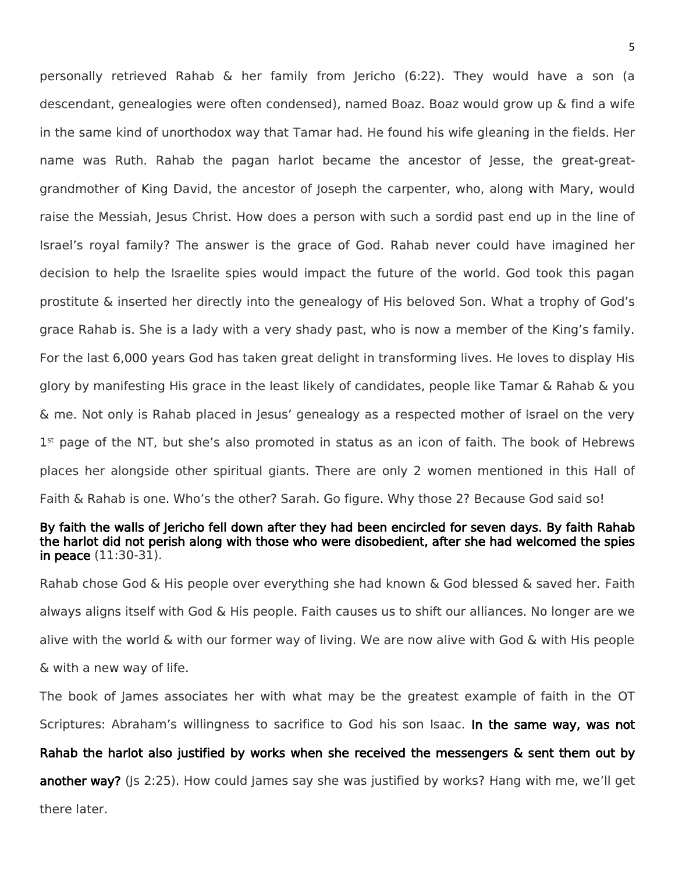personally retrieved Rahab & her family from Jericho (6:22). They would have a son (a descendant, genealogies were often condensed), named Boaz. Boaz would grow up & find a wife in the same kind of unorthodox way that Tamar had. He found his wife gleaning in the fields. Her name was Ruth. Rahab the pagan harlot became the ancestor of Jesse, the great-greatgrandmother of King David, the ancestor of Joseph the carpenter, who, along with Mary, would raise the Messiah, Jesus Christ. How does a person with such a sordid past end up in the line of Israel's royal family? The answer is the grace of God. Rahab never could have imagined her decision to help the Israelite spies would impact the future of the world. God took this pagan prostitute & inserted her directly into the genealogy of His beloved Son. What a trophy of God's grace Rahab is. She is a lady with a very shady past, who is now a member of the King's family. For the last 6,000 years God has taken great delight in transforming lives. He loves to display His glory by manifesting His grace in the least likely of candidates, people like Tamar & Rahab & you & me. Not only is Rahab placed in Jesus' genealogy as a respected mother of Israel on the very 1<sup>st</sup> page of the NT, but she's also promoted in status as an icon of faith. The book of Hebrews places her alongside other spiritual giants. There are only 2 women mentioned in this Hall of Faith & Rahab is one. Who's the other? Sarah. Go figure. Why those 2? Because God said so!

## By faith the walls of Jericho fell down after they had been encircled for seven days. By faith Rahab the harlot did not perish along with those who were disobedient, after she had welcomed the spies in peace (11:30-31).

Rahab chose God & His people over everything she had known & God blessed & saved her. Faith always aligns itself with God & His people. Faith causes us to shift our alliances. No longer are we alive with the world & with our former way of living. We are now alive with God & with His people & with a new way of life.

The book of James associates her with what may be the greatest example of faith in the OT Scriptures: Abraham's willingness to sacrifice to God his son Isaac. In the same way, was not

Rahab the harlot also justified by works when she received the messengers & sent them out by another way? ((s 2:25). How could James say she was justified by works? Hang with me, we'll get there later.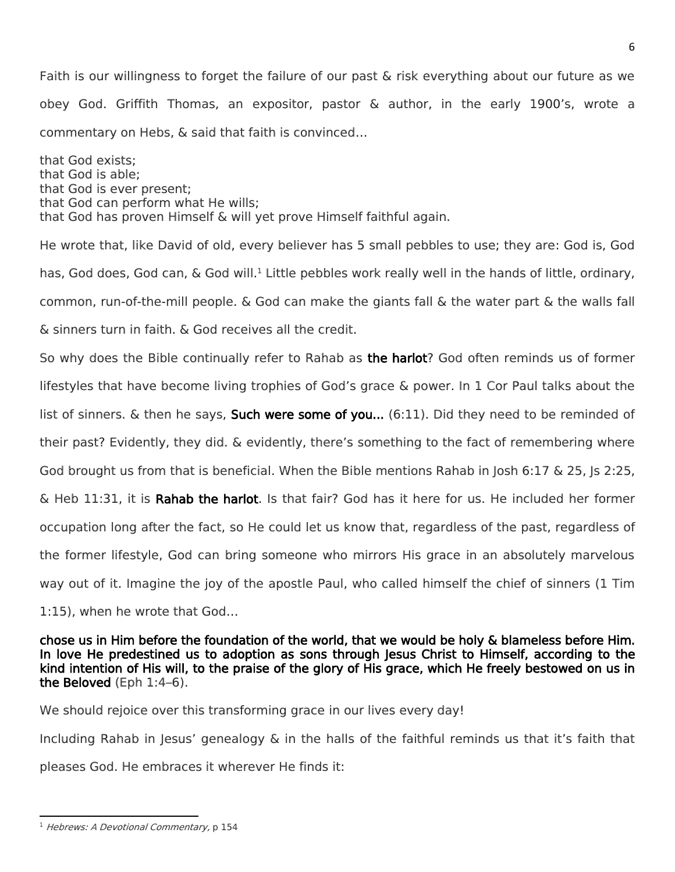Faith is our willingness to forget the failure of our past & risk everything about our future as we obey God. Griffith Thomas, an expositor, pastor & author, in the early 1900's, wrote a commentary on Hebs, & said that faith is convinced…

that God exists; that God is able; that God is ever present; that God can perform what He wills; that God has proven Himself & will yet prove Himself faithful again.

He wrote that, like David of old, every believer has 5 small pebbles to use; they are: God is, God has, God does, God can, & God will.<sup>1</sup> Little pebbles work really well in the hands of little, ordinary, common, run-of-the-mill people. & God can make the giants fall & the water part & the walls fall & sinners turn in faith. & God receives all the credit. So why does the Bible continually refer to Rahab as the harlot? God often reminds us of former lifestyles that have become living trophies of God's grace & power. In 1 Cor Paul talks about the list of sinners.  $\&$  then he says, **Such were some of you...** (6:11). Did they need to be reminded of their past? Evidently, they did. & evidently, there's something to the fact of remembering where God brought us from that is beneficial. When the Bible mentions Rahab in Josh 6:17 & 25, Is 2:25, & Heb 11:31, it is Rahab the harlot. Is that fair? God has it here for us. He included her former

occupation long after the fact, so He could let us know that, regardless of the past, regardless of the former lifestyle, God can bring someone who mirrors His grace in an absolutely marvelous way out of it. Imagine the joy of the apostle Paul, who called himself the chief of sinners (1 Tim

1:15), when he wrote that God…

chose us in Him before the foundation of the world, that we would be holy & blameless before Him. In love He predestined us to adoption as sons through Jesus Christ to Himself, according to the kind intention of His will, to the praise of the glory of His grace, which He freely bestowed on us in the Beloved (Eph 1:4–6).

We should rejoice over this transforming grace in our lives every day!

Including Rahab in Jesus' genealogy & in the halls of the faithful reminds us that it's faith that

pleases God. He embraces it wherever He finds it:

 $\overline{\phantom{a}}$ <sup>1</sup> Hebrews: A Devotional Commentary, p 154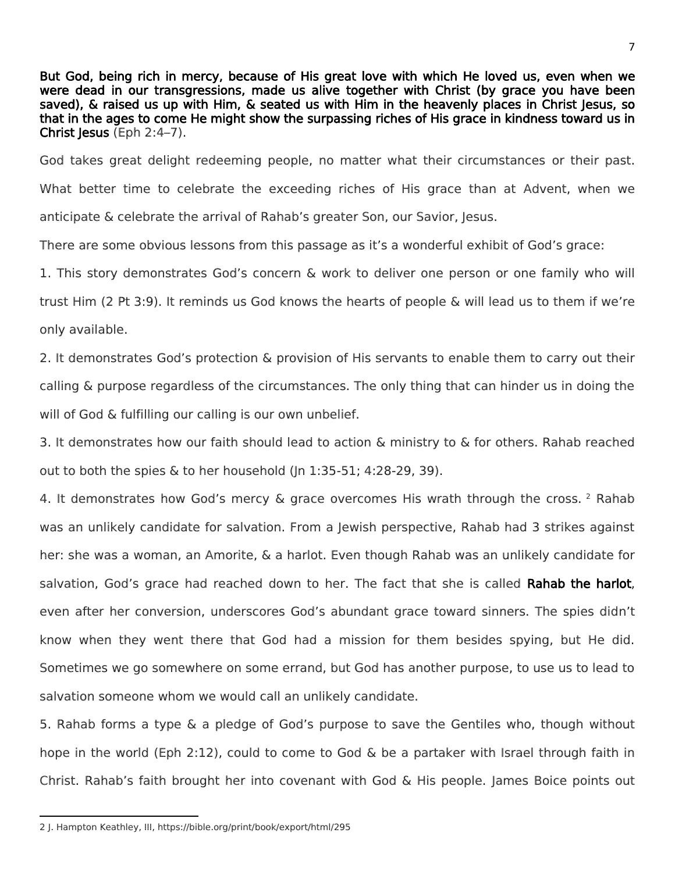But God, being rich in mercy, because of His great love with which He loved us, even when we were dead in our transgressions, made us alive together with Christ (by grace you have been saved), & raised us up with Him, & seated us with Him in the heavenly places in Christ Jesus, so that in the ages to come He might show the surpassing riches of His grace in kindness toward us in Christ Jesus (Eph 2:4–7).

God takes great delight redeeming people, no matter what their circumstances or their past. What better time to celebrate the exceeding riches of His grace than at Advent, when we anticipate & celebrate the arrival of Rahab's greater Son, our Savior, Jesus.

There are some obvious lessons from this passage as it's a wonderful exhibit of God's grace:

1. This story demonstrates God's concern & work to deliver one person or one family who will trust Him (2 Pt 3:9). It reminds us God knows the hearts of people & will lead us to them if we're only available.

2. It demonstrates God's protection & provision of His servants to enable them to carry out their calling & purpose regardless of the circumstances. The only thing that can hinder us in doing the will of God & fulfilling our calling is our own unbelief.

3. It demonstrates how our faith should lead to action & ministry to & for others. Rahab reached out to both the spies  $\&$  to her household (In 1:35-51; 4:28-29, 39).

4. It demonstrates how God's mercy & grace overcomes His wrath through the cross. 2 Rahab was an unlikely candidate for salvation. From a Jewish perspective, Rahab had 3 strikes against her: she was a woman, an Amorite, & a harlot. Even though Rahab was an unlikely candidate for salvation. God's grace had reached down to her. The fact that she is called **Rahab the harlot**. even after her conversion, underscores God's abundant grace toward sinners. The spies didn't know when they went there that God had a mission for them besides spying, but He did. Sometimes we go somewhere on some errand, but God has another purpose, to use us to lead to salvation someone whom we would call an unlikely candidate.

5. Rahab forms a type & a pledge of God's purpose to save the Gentiles who, though without hope in the world (Eph 2:12), could to come to God & be a partaker with Israel through faith in Christ. Rahab's faith brought her into covenant with God & His people. James Boice points out

<sup>7</sup>

 $\overline{\phantom{a}}$ 2 J. Hampton Keathley, III, https://bible.org/print/book/export/html/295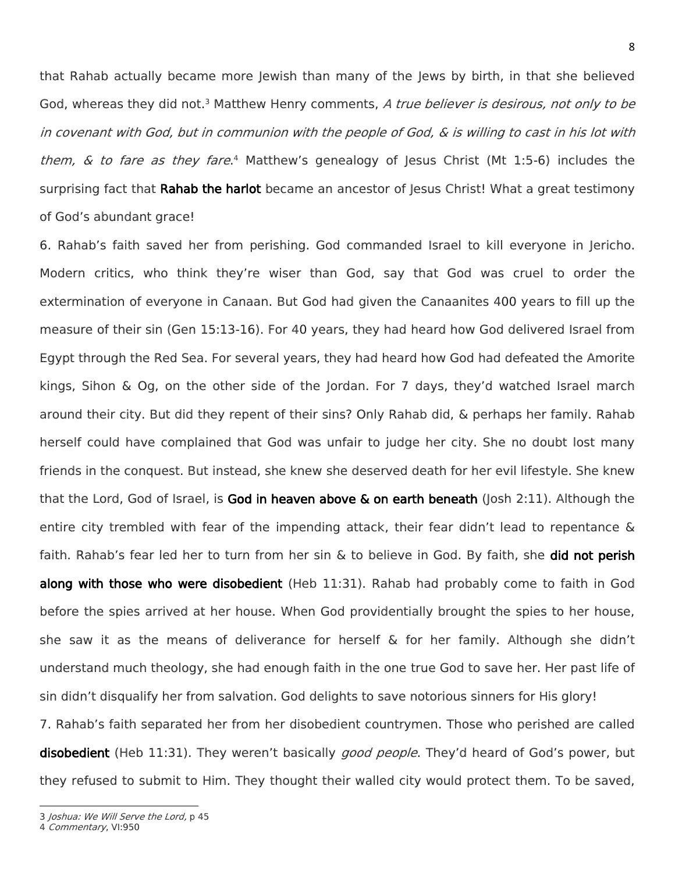that Rahab actually became more Jewish than many of the Jews by birth, in that she believed God, whereas they did not.<sup>3</sup> Matthew Henry comments, A true believer is desirous, not only to be in covenant with God, but in communion with the people of God, & is willing to cast in his lot with them, & to fare as they fare.<sup>4</sup> Matthew's genealogy of Jesus Christ (Mt 1:5-6) includes the surprising fact that **Rahab the harlot** became an ancestor of Jesus Christ! What a great testimony of God's abundant grace!

6. Rahab's faith saved her from perishing. God commanded Israel to kill everyone in Jericho. Modern critics, who think they're wiser than God, say that God was cruel to order the extermination of everyone in Canaan. But God had given the Canaanites 400 years to fill up the measure of their sin (Gen 15:13-16). For 40 years, they had heard how God delivered Israel from Egypt through the Red Sea. For several years, they had heard how God had defeated the Amorite kings, Sihon & Og, on the other side of the Jordan. For 7 days, they'd watched Israel march around their city. But did they repent of their sins? Only Rahab did, & perhaps her family. Rahab herself could have complained that God was unfair to judge her city. She no doubt lost many friends in the conquest. But instead, she knew she deserved death for her evil lifestyle. She knew that the Lord, God of Israel, is God in heaven above & on earth beneath (Josh 2:11). Although the entire city trembled with fear of the impending attack, their fear didn't lead to repentance & faith. Rahab's fear led her to turn from her sin & to believe in God. By faith, she did not perish along with those who were disobedient (Heb 11:31). Rahab had probably come to faith in God before the spies arrived at her house. When God providentially brought the spies to her house, she saw it as the means of deliverance for herself  $\&$  for her family. Although she didn't understand much theology, she had enough faith in the one true God to save her. Her past life of sin didn't disqualify her from salvation. God delights to save notorious sinners for His glory! 7. Rahab's faith separated her from her disobedient countrymen. Those who perished are called

disobedient (Heb 11:31). They weren't basically *good people*. They'd heard of God's power, but they refused to submit to Him. They thought their walled city would protect them. To be saved,

 $\overline{a}$ 

<sup>3</sup> Joshua: We Will Serve the Lord, p 45

<sup>4</sup> Commentary, VI:950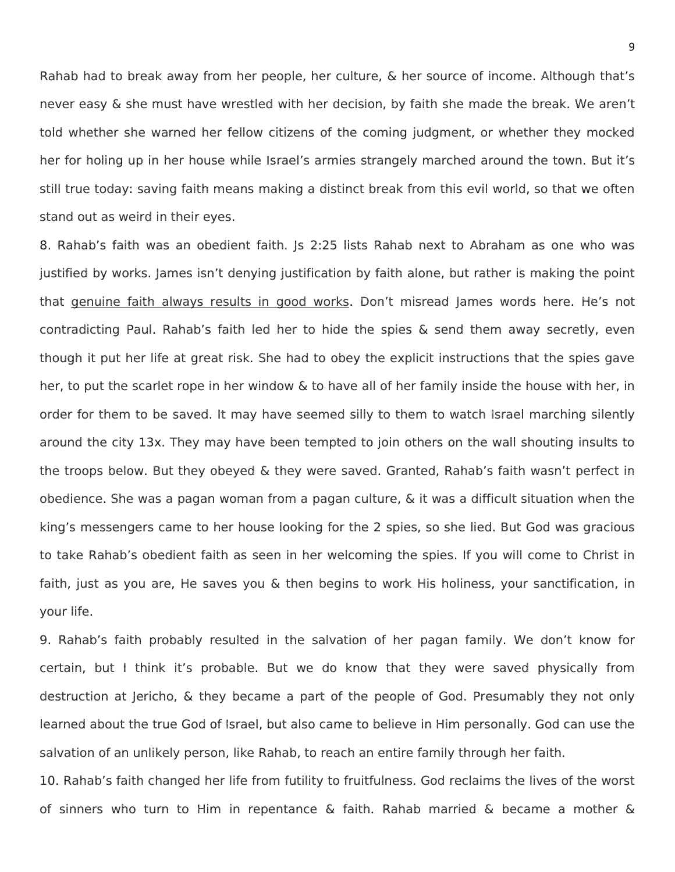Rahab had to break away from her people, her culture, & her source of income. Although that's never easy & she must have wrestled with her decision, by faith she made the break. We aren't told whether she warned her fellow citizens of the coming judgment, or whether they mocked her for holing up in her house while Israel's armies strangely marched around the town. But it's still true today: saving faith means making a distinct break from this evil world, so that we often stand out as weird in their eyes.

8. Rahab's faith was an obedient faith. Js 2:25 lists Rahab next to Abraham as one who was justified by works. James isn't denying justification by faith alone, but rather is making the point that genuine faith always results in good works. Don't misread James words here. He's not contradicting Paul. Rahab's faith led her to hide the spies & send them away secretly, even though it put her life at great risk. She had to obey the explicit instructions that the spies gave her, to put the scarlet rope in her window & to have all of her family inside the house with her, in order for them to be saved. It may have seemed silly to them to watch Israel marching silently around the city 13x. They may have been tempted to join others on the wall shouting insults to the troops below. But they obeyed & they were saved. Granted, Rahab's faith wasn't perfect in obedience. She was a pagan woman from a pagan culture, & it was a difficult situation when the king's messengers came to her house looking for the 2 spies, so she lied. But God was gracious to take Rahab's obedient faith as seen in her welcoming the spies. If you will come to Christ in faith, just as you are, He saves you & then begins to work His holiness, your sanctification, in your life.

9. Rahab's faith probably resulted in the salvation of her pagan family. We don't know for certain, but I think it's probable. But we do know that they were saved physically from destruction at Jericho, & they became a part of the people of God. Presumably they not only learned about the true God of Israel, but also came to believe in Him personally. God can use the salvation of an unlikely person, like Rahab, to reach an entire family through her faith.

10. Rahab's faith changed her life from futility to fruitfulness. God reclaims the lives of the worst of sinners who turn to Him in repentance & faith. Rahab married & became a mother &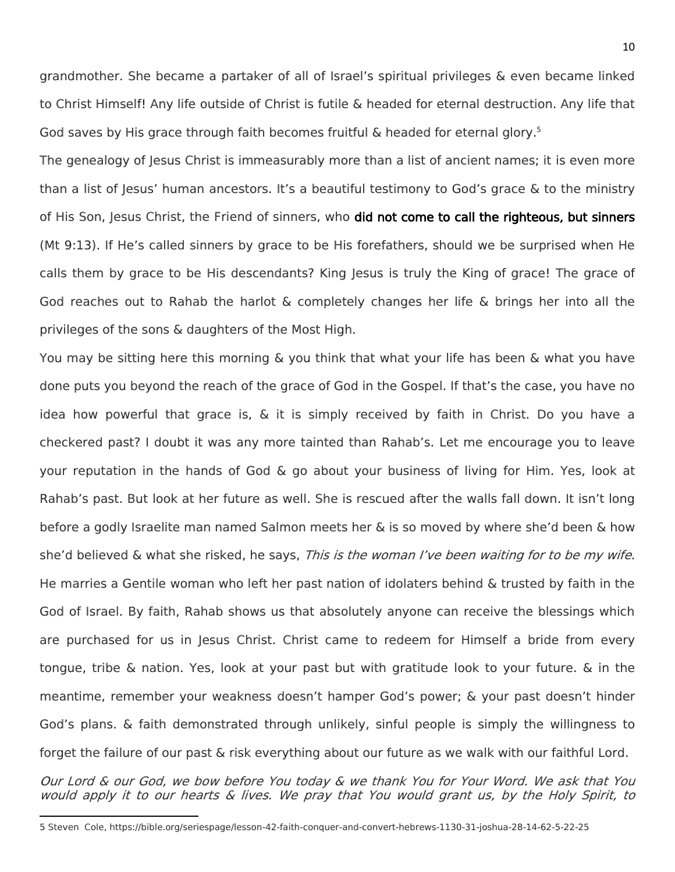grandmother. She became a partaker of all of Israel's spiritual privileges & even became linked to Christ Himself! Any life outside of Christ is futile & headed for eternal destruction. Any life that God saves by His grace through faith becomes fruitful & headed for eternal glory.<sup>5</sup>

The genealogy of Jesus Christ is immeasurably more than a list of ancient names; it is even more than a list of Jesus' human ancestors. It's a beautiful testimony to God's grace & to the ministry of His Son, Jesus Christ, the Friend of sinners, who did not come to call the righteous, but sinners (Mt 9:13). If He's called sinners by grace to be His forefathers, should we be surprised when He calls them by grace to be His descendants? King Jesus is truly the King of grace! The grace of God reaches out to Rahab the harlot & completely changes her life & brings her into all the privileges of the sons & daughters of the Most High.

You may be sitting here this morning & you think that what your life has been & what you have done puts you beyond the reach of the grace of God in the Gospel. If that's the case, you have no idea how powerful that grace is, & it is simply received by faith in Christ. Do you have a checkered past? I doubt it was any more tainted than Rahab's. Let me encourage you to leave your reputation in the hands of God & go about your business of living for Him. Yes, look at Rahab's past. But look at her future as well. She is rescued after the walls fall down. It isn't long before a godly Israelite man named Salmon meets her & is so moved by where she'd been & how she'd believed & what she risked, he says, This is the woman I've been waiting for to be my wife. He marries a Gentile woman who left her past nation of idolaters behind & trusted by faith in the God of Israel. By faith, Rahab shows us that absolutely anyone can receive the blessings which are purchased for us in Jesus Christ. Christ came to redeem for Himself a bride from every tongue, tribe & nation. Yes, look at your past but with gratitude look to your future. & in the meantime, remember your weakness doesn't hamper God's power; & your past doesn't hinder God's plans. & faith demonstrated through unlikely, sinful people is simply the willingness to forget the failure of our past & risk everything about our future as we walk with our faithful Lord.

Our Lord & our God, we bow before You today & we thank You for Your Word. We ask that You would apply it to our hearts & lives. We pray that You would grant us, by the Holy Spirit, to

 $\overline{\phantom{a}}$ 

<sup>5</sup> Steven Cole, https://bible.org/seriespage/lesson-42-faith-conquer-and-convert-hebrews-1130-31-joshua-28-14-62-5-22-25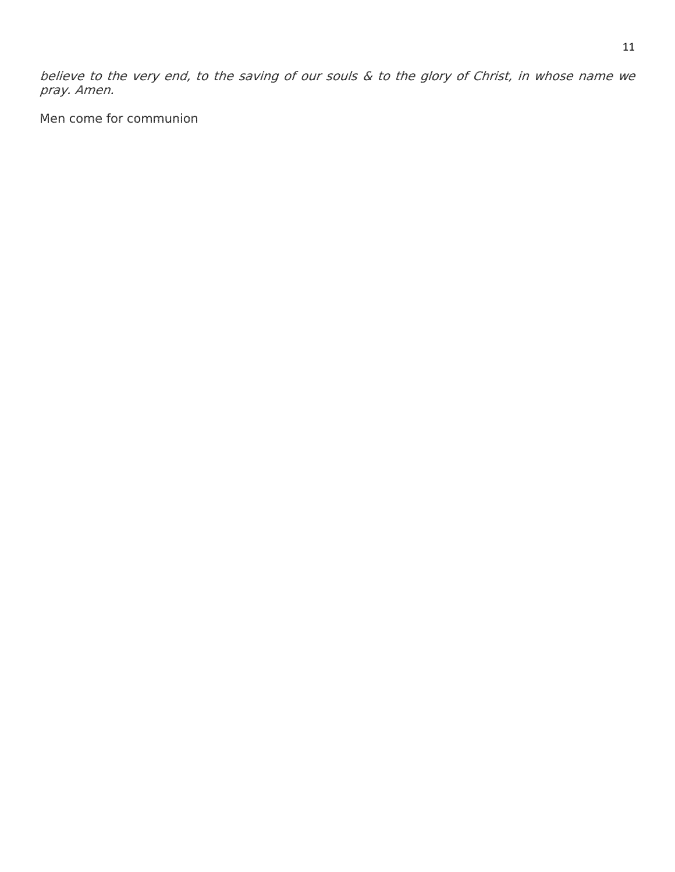believe to the very end, to the saving of our souls & to the glory of Christ, in whose name we pray. Amen.

Men come for communion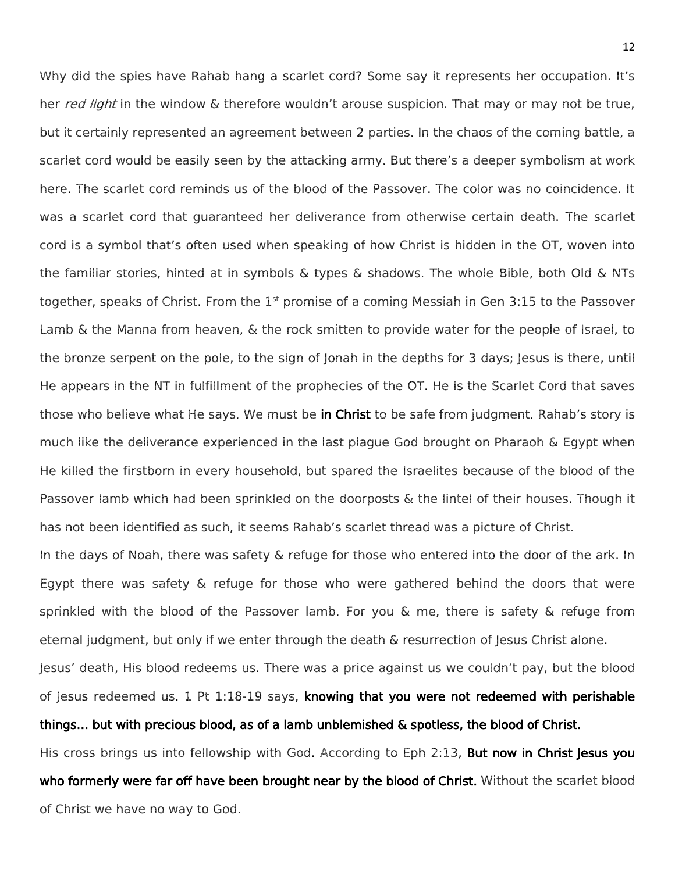Why did the spies have Rahab hang a scarlet cord? Some say it represents her occupation. It's her red light in the window & therefore wouldn't arouse suspicion. That may or may not be true, but it certainly represented an agreement between 2 parties. In the chaos of the coming battle, a scarlet cord would be easily seen by the attacking army. But there's a deeper symbolism at work here. The scarlet cord reminds us of the blood of the Passover. The color was no coincidence. It was a scarlet cord that guaranteed her deliverance from otherwise certain death. The scarlet cord is a symbol that's often used when speaking of how Christ is hidden in the OT, woven into the familiar stories, hinted at in symbols & types & shadows. The whole Bible, both Old & NTs together, speaks of Christ. From the  $1<sup>st</sup>$  promise of a coming Messiah in Gen 3:15 to the Passover Lamb & the Manna from heaven, & the rock smitten to provide water for the people of Israel, to the bronze serpent on the pole, to the sign of Jonah in the depths for 3 days; Jesus is there, until He appears in the NT in fulfillment of the prophecies of the OT. He is the Scarlet Cord that saves those who believe what He says. We must be in Christ to be safe from judgment. Rahab's story is much like the deliverance experienced in the last plague God brought on Pharaoh & Egypt when He killed the firstborn in every household, but spared the Israelites because of the blood of the Passover lamb which had been sprinkled on the doorposts & the lintel of their houses. Though it has not been identified as such, it seems Rahab's scarlet thread was a picture of Christ.

In the days of Noah, there was safety & refuge for those who entered into the door of the ark. In Egypt there was safety & refuge for those who were gathered behind the doors that were sprinkled with the blood of the Passover lamb. For you & me, there is safety & refuge from eternal judgment, but only if we enter through the death & resurrection of Jesus Christ alone.

Jesus' death, His blood redeems us. There was a price against us we couldn't pay, but the blood of Jesus redeemed us. 1 Pt 1:18-19 says, knowing that you were not redeemed with perishable things… but with precious blood, as of a lamb unblemished & spotless, the blood of Christ.

His cross brings us into fellowship with God. According to Eph 2:13, **But now in Christ Jesus you** who formerly were far off have been brought near by the blood of Christ. Without the scarlet blood of Christ we have no way to God.